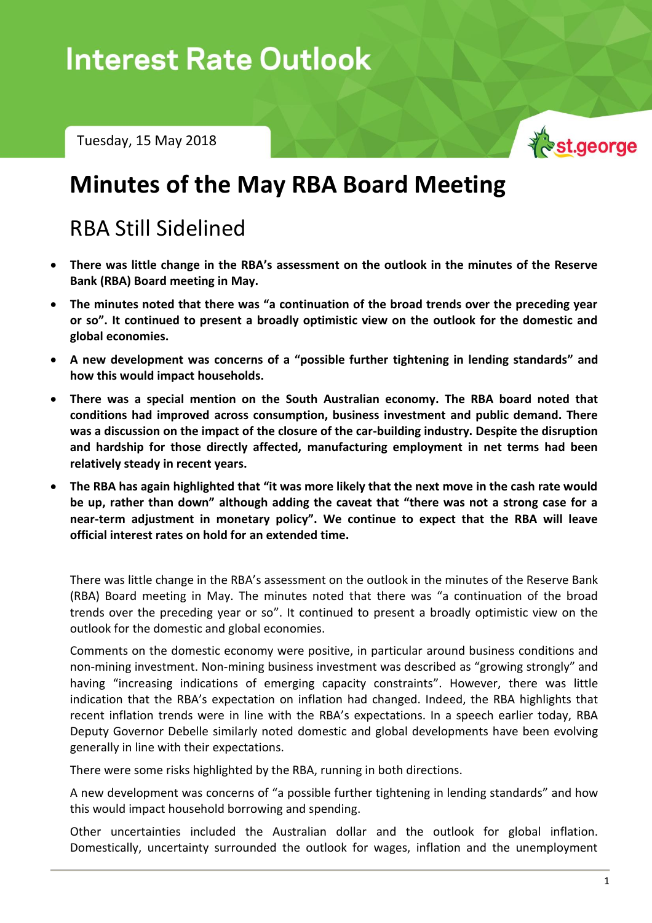# In the  $\mathcal{N}$  - Tuesday, 15 May 2018

Tuesday, 15 May 2018



# **Minutes of the May RBA Board Meeting**

## RBA Still Sidelined

- **There was little change in the RBA's assessment on the outlook in the minutes of the Reserve Bank (RBA) Board meeting in May.**
- **The minutes noted that there was "a continuation of the broad trends over the preceding year or so". It continued to present a broadly optimistic view on the outlook for the domestic and global economies.**
- **A new development was concerns of a "possible further tightening in lending standards" and how this would impact households.**
- **There was a special mention on the South Australian economy. The RBA board noted that conditions had improved across consumption, business investment and public demand. There was a discussion on the impact of the closure of the car-building industry. Despite the disruption and hardship for those directly affected, manufacturing employment in net terms had been relatively steady in recent years.**
- **The RBA has again highlighted that "it was more likely that the next move in the cash rate would be up, rather than down" although adding the caveat that "there was not a strong case for a near-term adjustment in monetary policy". We continue to expect that the RBA will leave official interest rates on hold for an extended time.**

There was little change in the RBA's assessment on the outlook in the minutes of the Reserve Bank (RBA) Board meeting in May. The minutes noted that there was "a continuation of the broad trends over the preceding year or so". It continued to present a broadly optimistic view on the outlook for the domestic and global economies.

Comments on the domestic economy were positive, in particular around business conditions and non-mining investment. Non-mining business investment was described as "growing strongly" and having "increasing indications of emerging capacity constraints". However, there was little indication that the RBA's expectation on inflation had changed. Indeed, the RBA highlights that recent inflation trends were in line with the RBA's expectations. In a speech earlier today, RBA Deputy Governor Debelle similarly noted domestic and global developments have been evolving generally in line with their expectations.

There were some risks highlighted by the RBA, running in both directions.

A new development was concerns of "a possible further tightening in lending standards" and how this would impact household borrowing and spending.

Other uncertainties included the Australian dollar and the outlook for global inflation. Domestically, uncertainty surrounded the outlook for wages, inflation and the unemployment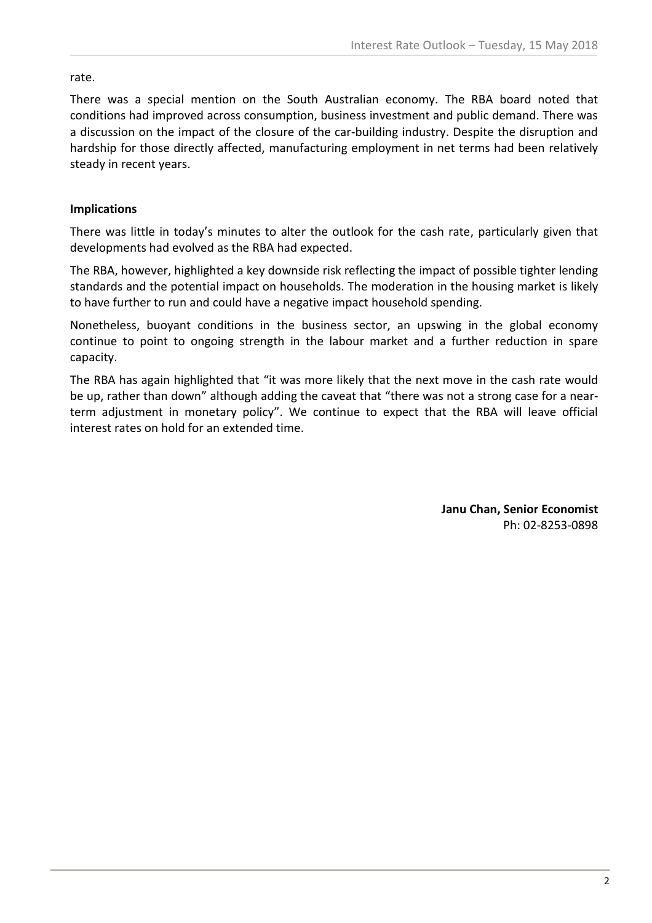rate.

There was a special mention on the South Australian economy. The RBA board noted that conditions had improved across consumption, business investment and public demand. There was a discussion on the impact of the closure of the car-building industry. Despite the disruption and hardship for those directly affected, manufacturing employment in net terms had been relatively steady in recent years.

### **Implications**

There was little in today's minutes to alter the outlook for the cash rate, particularly given that developments had evolved as the RBA had expected.

The RBA, however, highlighted a key downside risk reflecting the impact of possible tighter lending standards and the potential impact on households. The moderation in the housing market is likely to have further to run and could have a negative impact household spending.

Nonetheless, buoyant conditions in the business sector, an upswing in the global economy continue to point to ongoing strength in the labour market and a further reduction in spare capacity.

The RBA has again highlighted that "it was more likely that the next move in the cash rate would be up, rather than down" although adding the caveat that "there was not a strong case for a nearterm adjustment in monetary policy". We continue to expect that the RBA will leave official interest rates on hold for an extended time.

> **Janu Chan, Senior Economist** Ph: 02-8253-0898